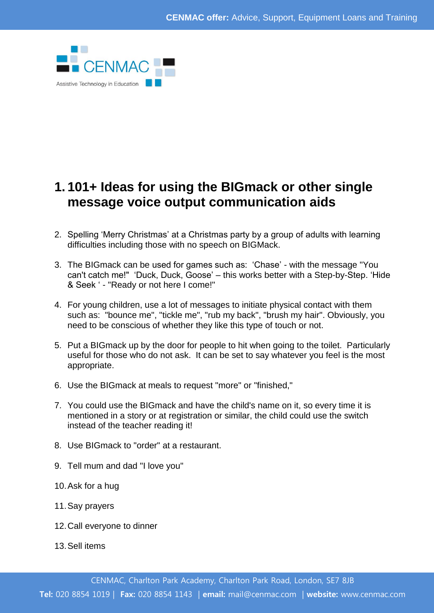

## **1. 101+ Ideas for using the BIGmack or other single message voice output communication aids**

- 2. Spelling 'Merry Christmas' at a Christmas party by a group of adults with learning difficulties including those with no speech on BIGMack.
- 3. The BIGmack can be used for games such as: 'Chase' with the message "You can't catch me!" 'Duck, Duck, Goose' – this works better with a Step-by-Step. 'Hide & Seek ' - "Ready or not here I come!"
- 4. For young children, use a lot of messages to initiate physical contact with them such as: "bounce me", "tickle me", "rub my back", "brush my hair". Obviously, you need to be conscious of whether they like this type of touch or not.
- 5. Put a BIGmack up by the door for people to hit when going to the toilet. Particularly useful for those who do not ask. It can be set to say whatever you feel is the most appropriate.
- 6. Use the BIGmack at meals to request "more" or "finished,"
- 7. You could use the BIGmack and have the child's name on it, so every time it is mentioned in a story or at registration or similar, the child could use the switch instead of the teacher reading it!
- 8. Use BIGmack to "order" at a restaurant.
- 9. Tell mum and dad "I love you"
- 10.Ask for a hug
- 11.Say prayers
- 12.Call everyone to dinner
- 13.Sell items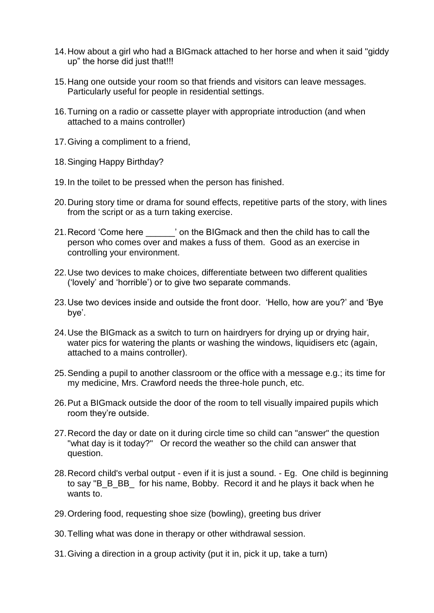- 14.How about a girl who had a BIGmack attached to her horse and when it said "giddy up" the horse did just that!!!
- 15.Hang one outside your room so that friends and visitors can leave messages. Particularly useful for people in residential settings.
- 16.Turning on a radio or cassette player with appropriate introduction (and when attached to a mains controller)
- 17.Giving a compliment to a friend,
- 18.Singing Happy Birthday?
- 19.In the toilet to be pressed when the person has finished.
- 20.During story time or drama for sound effects, repetitive parts of the story, with lines from the script or as a turn taking exercise.
- 21.Record 'Come here \_\_\_\_\_\_' on the BIGmack and then the child has to call the person who comes over and makes a fuss of them. Good as an exercise in controlling your environment.
- 22.Use two devices to make choices, differentiate between two different qualities ('lovely' and 'horrible') or to give two separate commands.
- 23.Use two devices inside and outside the front door. 'Hello, how are you?' and 'Bye bye'.
- 24.Use the BIGmack as a switch to turn on hairdryers for drying up or drying hair, water pics for watering the plants or washing the windows, liquidisers etc (again, attached to a mains controller).
- 25.Sending a pupil to another classroom or the office with a message e.g.; its time for my medicine, Mrs. Crawford needs the three-hole punch, etc.
- 26.Put a BIGmack outside the door of the room to tell visually impaired pupils which room they're outside.
- 27.Record the day or date on it during circle time so child can "answer" the question "what day is it today?" Or record the weather so the child can answer that question.
- 28.Record child's verbal output even if it is just a sound. Eg. One child is beginning to say "B\_B\_BB\_ for his name, Bobby. Record it and he plays it back when he wants to.
- 29.Ordering food, requesting shoe size (bowling), greeting bus driver
- 30.Telling what was done in therapy or other withdrawal session.
- 31.Giving a direction in a group activity (put it in, pick it up, take a turn)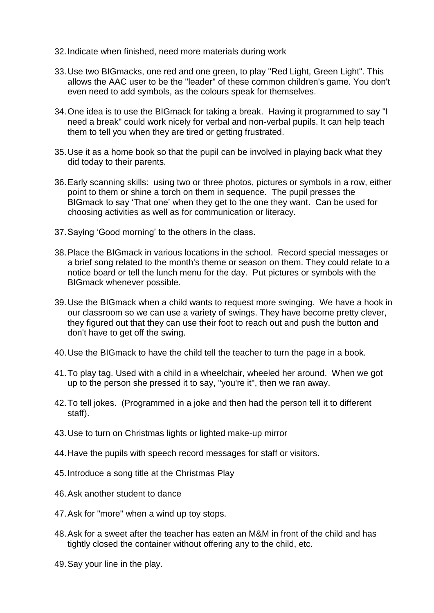- 32.Indicate when finished, need more materials during work
- 33.Use two BIGmacks, one red and one green, to play "Red Light, Green Light". This allows the AAC user to be the "leader" of these common children's game. You don't even need to add symbols, as the colours speak for themselves.
- 34.One idea is to use the BIGmack for taking a break. Having it programmed to say "I need a break" could work nicely for verbal and non-verbal pupils. It can help teach them to tell you when they are tired or getting frustrated.
- 35.Use it as a home book so that the pupil can be involved in playing back what they did today to their parents.
- 36.Early scanning skills: using two or three photos, pictures or symbols in a row, either point to them or shine a torch on them in sequence. The pupil presses the BIGmack to say 'That one' when they get to the one they want. Can be used for choosing activities as well as for communication or literacy.
- 37.Saying 'Good morning' to the others in the class.
- 38.Place the BIGmack in various locations in the school. Record special messages or a brief song related to the month's theme or season on them. They could relate to a notice board or tell the lunch menu for the day. Put pictures or symbols with the BIGmack whenever possible.
- 39.Use the BIGmack when a child wants to request more swinging. We have a hook in our classroom so we can use a variety of swings. They have become pretty clever, they figured out that they can use their foot to reach out and push the button and don't have to get off the swing.
- 40.Use the BIGmack to have the child tell the teacher to turn the page in a book.
- 41.To play tag. Used with a child in a wheelchair, wheeled her around. When we got up to the person she pressed it to say, "you're it", then we ran away.
- 42.To tell jokes. (Programmed in a joke and then had the person tell it to different staff).
- 43.Use to turn on Christmas lights or lighted make-up mirror
- 44.Have the pupils with speech record messages for staff or visitors.
- 45.Introduce a song title at the Christmas Play
- 46.Ask another student to dance
- 47.Ask for "more" when a wind up toy stops.
- 48.Ask for a sweet after the teacher has eaten an M&M in front of the child and has tightly closed the container without offering any to the child, etc.
- 49.Say your line in the play.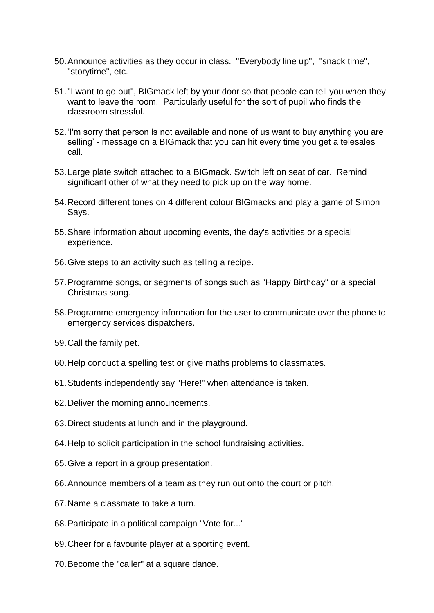- 50.Announce activities as they occur in class. "Everybody line up", "snack time", "storytime", etc.
- 51."I want to go out", BIGmack left by your door so that people can tell you when they want to leave the room. Particularly useful for the sort of pupil who finds the classroom stressful.
- 52.'I'm sorry that person is not available and none of us want to buy anything you are selling' - message on a BIGmack that you can hit every time you get a telesales call.
- 53.Large plate switch attached to a BIGmack. Switch left on seat of car. Remind significant other of what they need to pick up on the way home.
- 54.Record different tones on 4 different colour BIGmacks and play a game of Simon Says.
- 55.Share information about upcoming events, the day's activities or a special experience.
- 56.Give steps to an activity such as telling a recipe.
- 57.Programme songs, or segments of songs such as "Happy Birthday" or a special Christmas song.
- 58.Programme emergency information for the user to communicate over the phone to emergency services dispatchers.
- 59.Call the family pet.
- 60.Help conduct a spelling test or give maths problems to classmates.
- 61.Students independently say "Here!" when attendance is taken.
- 62.Deliver the morning announcements.
- 63.Direct students at lunch and in the playground.
- 64.Help to solicit participation in the school fundraising activities.
- 65.Give a report in a group presentation.
- 66.Announce members of a team as they run out onto the court or pitch.
- 67.Name a classmate to take a turn.
- 68.Participate in a political campaign "Vote for..."
- 69.Cheer for a favourite player at a sporting event.
- 70.Become the "caller" at a square dance.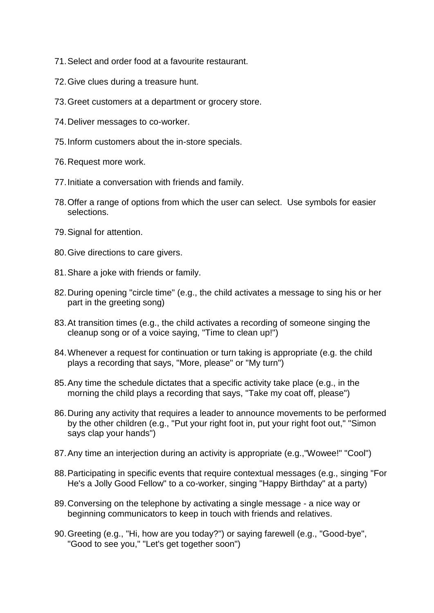- 71.Select and order food at a favourite restaurant.
- 72.Give clues during a treasure hunt.
- 73.Greet customers at a department or grocery store.
- 74.Deliver messages to co-worker.
- 75.Inform customers about the in-store specials.
- 76.Request more work.
- 77.Initiate a conversation with friends and family.
- 78.Offer a range of options from which the user can select. Use symbols for easier selections.
- 79.Signal for attention.
- 80.Give directions to care givers.
- 81.Share a joke with friends or family.
- 82.During opening "circle time" (e.g., the child activates a message to sing his or her part in the greeting song)
- 83.At transition times (e.g., the child activates a recording of someone singing the cleanup song or of a voice saying, "Time to clean up!")
- 84.Whenever a request for continuation or turn taking is appropriate (e.g. the child plays a recording that says, "More, please" or "My turn")
- 85.Any time the schedule dictates that a specific activity take place (e.g., in the morning the child plays a recording that says, "Take my coat off, please")
- 86.During any activity that requires a leader to announce movements to be performed by the other children (e.g., "Put your right foot in, put your right foot out," "Simon says clap your hands")
- 87.Any time an interjection during an activity is appropriate (e.g.,"Wowee!" "Cool")
- 88.Participating in specific events that require contextual messages (e.g., singing "For He's a Jolly Good Fellow" to a co-worker, singing "Happy Birthday" at a party)
- 89.Conversing on the telephone by activating a single message a nice way or beginning communicators to keep in touch with friends and relatives.
- 90.Greeting (e.g., "Hi, how are you today?") or saying farewell (e.g., "Good-bye", "Good to see you," "Let's get together soon")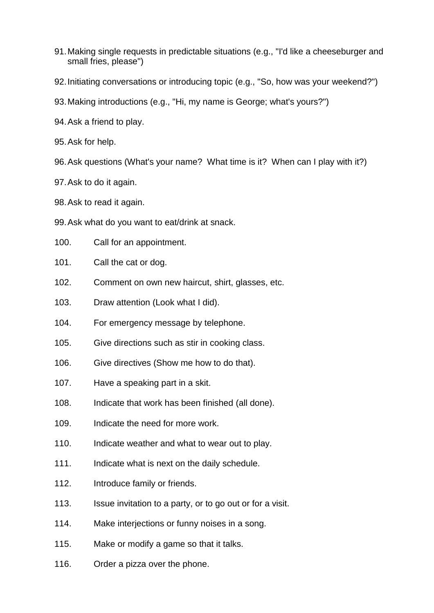- 91.Making single requests in predictable situations (e.g., "I'd like a cheeseburger and small fries, please")
- 92.Initiating conversations or introducing topic (e.g., "So, how was your weekend?")
- 93.Making introductions (e.g., "Hi, my name is George; what's yours?")
- 94.Ask a friend to play.
- 95.Ask for help.
- 96.Ask questions (What's your name? What time is it? When can I play with it?)
- 97.Ask to do it again.
- 98.Ask to read it again.
- 99.Ask what do you want to eat/drink at snack.
- 100. Call for an appointment.
- 101. Call the cat or dog.
- 102. Comment on own new haircut, shirt, glasses, etc.
- 103. Draw attention (Look what I did).
- 104. For emergency message by telephone.
- 105. Give directions such as stir in cooking class.
- 106. Give directives (Show me how to do that).
- 107. Have a speaking part in a skit.
- 108. Indicate that work has been finished (all done).
- 109. Indicate the need for more work.
- 110. Indicate weather and what to wear out to play.
- 111. Indicate what is next on the daily schedule.
- 112. Introduce family or friends.
- 113. Issue invitation to a party, or to go out or for a visit.
- 114. Make interjections or funny noises in a song.
- 115. Make or modify a game so that it talks.
- 116. Order a pizza over the phone.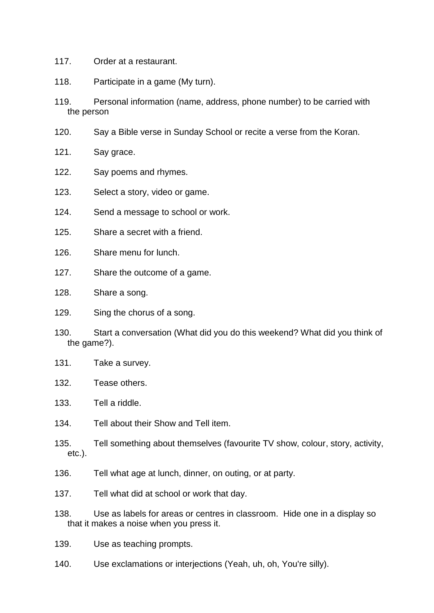- 117. Order at a restaurant.
- 118. Participate in a game (My turn).
- 119. Personal information (name, address, phone number) to be carried with the person
- 120. Say a Bible verse in Sunday School or recite a verse from the Koran.
- 121. Say grace.
- 122. Say poems and rhymes.
- 123. Select a story, video or game.
- 124. Send a message to school or work.
- 125. Share a secret with a friend.
- 126. Share menu for lunch.
- 127. Share the outcome of a game.
- 128. Share a song.
- 129. Sing the chorus of a song.
- 130. Start a conversation (What did you do this weekend? What did you think of the game?).
- 131. Take a survey.
- 132. Tease others.
- 133. Tell a riddle.
- 134. Tell about their Show and Tell item.
- 135. Tell something about themselves (favourite TV show, colour, story, activity, etc.).
- 136. Tell what age at lunch, dinner, on outing, or at party.
- 137. Tell what did at school or work that day.
- 138. Use as labels for areas or centres in classroom. Hide one in a display so that it makes a noise when you press it.
- 139. Use as teaching prompts.
- 140. Use exclamations or interjections (Yeah, uh, oh, You're silly).